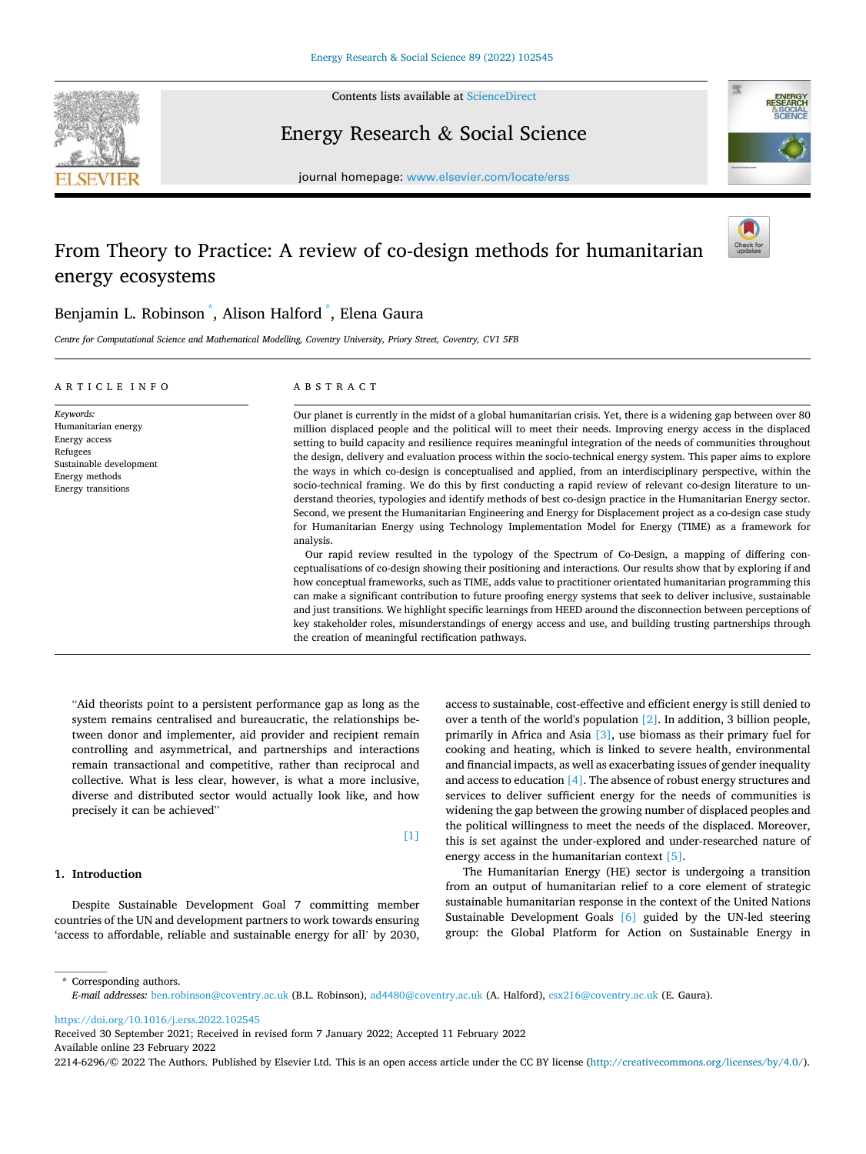

Contents lists available at [ScienceDirect](www.sciencedirect.com/science/journal/22146296)

Energy Research & Social Science



journal homepage: [www.elsevier.com/locate/erss](https://www.elsevier.com/locate/erss)

# From Theory to Practice: A review of co-design methods for humanitarian energy ecosystems



# Benjamin L. Robinson \* , Alison Halford \* , Elena Gaura

*Centre for Computational Science and Mathematical Modelling, Coventry University, Priory Street, Coventry, CV1 5FB* 

#### A R T I C L E I N F O

Sustainable development Energy methods Energy transitions

*Keywords:*  Humanitarian energy Energy access Refugees

## ABSTRACT

Our planet is currently in the midst of a global humanitarian crisis. Yet, there is a widening gap between over 80 million displaced people and the political will to meet their needs. Improving energy access in the displaced setting to build capacity and resilience requires meaningful integration of the needs of communities throughout the design, delivery and evaluation process within the socio-technical energy system. This paper aims to explore the ways in which co-design is conceptualised and applied, from an interdisciplinary perspective, within the socio-technical framing. We do this by first conducting a rapid review of relevant co-design literature to understand theories, typologies and identify methods of best co-design practice in the Humanitarian Energy sector. Second, we present the Humanitarian Engineering and Energy for Displacement project as a co-design case study for Humanitarian Energy using Technology Implementation Model for Energy (TIME) as a framework for analysis.

Our rapid review resulted in the typology of the Spectrum of Co-Design, a mapping of differing conceptualisations of co-design showing their positioning and interactions. Our results show that by exploring if and how conceptual frameworks, such as TIME, adds value to practitioner orientated humanitarian programming this can make a significant contribution to future proofing energy systems that seek to deliver inclusive, sustainable and just transitions. We highlight specific learnings from HEED around the disconnection between perceptions of key stakeholder roles, misunderstandings of energy access and use, and building trusting partnerships through the creation of meaningful rectification pathways.

"Aid theorists point to a persistent performance gap as long as the system remains centralised and bureaucratic, the relationships between donor and implementer, aid provider and recipient remain controlling and asymmetrical, and partnerships and interactions remain transactional and competitive, rather than reciprocal and collective. What is less clear, however, is what a more inclusive, diverse and distributed sector would actually look like, and how precisely it can be achieved"

# **1. Introduction**

Despite Sustainable Development Goal 7 committing member countries of the UN and development partners to work towards ensuring 'access to affordable, reliable and sustainable energy for all' by 2030,

access to sustainable, cost-effective and efficient energy is still denied to over a tenth of the world's population [\[2\].](#page-9-0) In addition, 3 billion people, primarily in Africa and Asia [\[3\],](#page-9-0) use biomass as their primary fuel for cooking and heating, which is linked to severe health, environmental and financial impacts, as well as exacerbating issues of gender inequality and access to education [\[4\]](#page-9-0). The absence of robust energy structures and services to deliver sufficient energy for the needs of communities is widening the gap between the growing number of displaced peoples and the political willingness to meet the needs of the displaced. Moreover, this is set against the under-explored and under-researched nature of energy access in the humanitarian context [\[5\].](#page-9-0)

The Humanitarian Energy (HE) sector is undergoing a transition from an output of humanitarian relief to a core element of strategic sustainable humanitarian response in the context of the United Nations Sustainable Development Goals [\[6\]](#page-9-0) guided by the UN-led steering group: the Global Platform for Action on Sustainable Energy in

\* Corresponding authors. *E-mail addresses:* [ben.robinson@coventry.ac.uk](mailto:ben.robinson@coventry.ac.uk) (B.L. Robinson), [ad4480@coventry.ac.uk](mailto:ad4480@coventry.ac.uk) (A. Halford), [csx216@coventry.ac.uk](mailto:csx216@coventry.ac.uk) (E. Gaura).

<https://doi.org/10.1016/j.erss.2022.102545>

Available online 23 February 2022 Received 30 September 2021; Received in revised form 7 January 2022; Accepted 11 February 2022

2214-6296/© 2022 The Authors. Published by Elsevier Ltd. This is an open access article under the CC BY license [\(http://creativecommons.org/licenses/by/4.0/\)](http://creativecommons.org/licenses/by/4.0/).

[\[1\]](#page-9-0)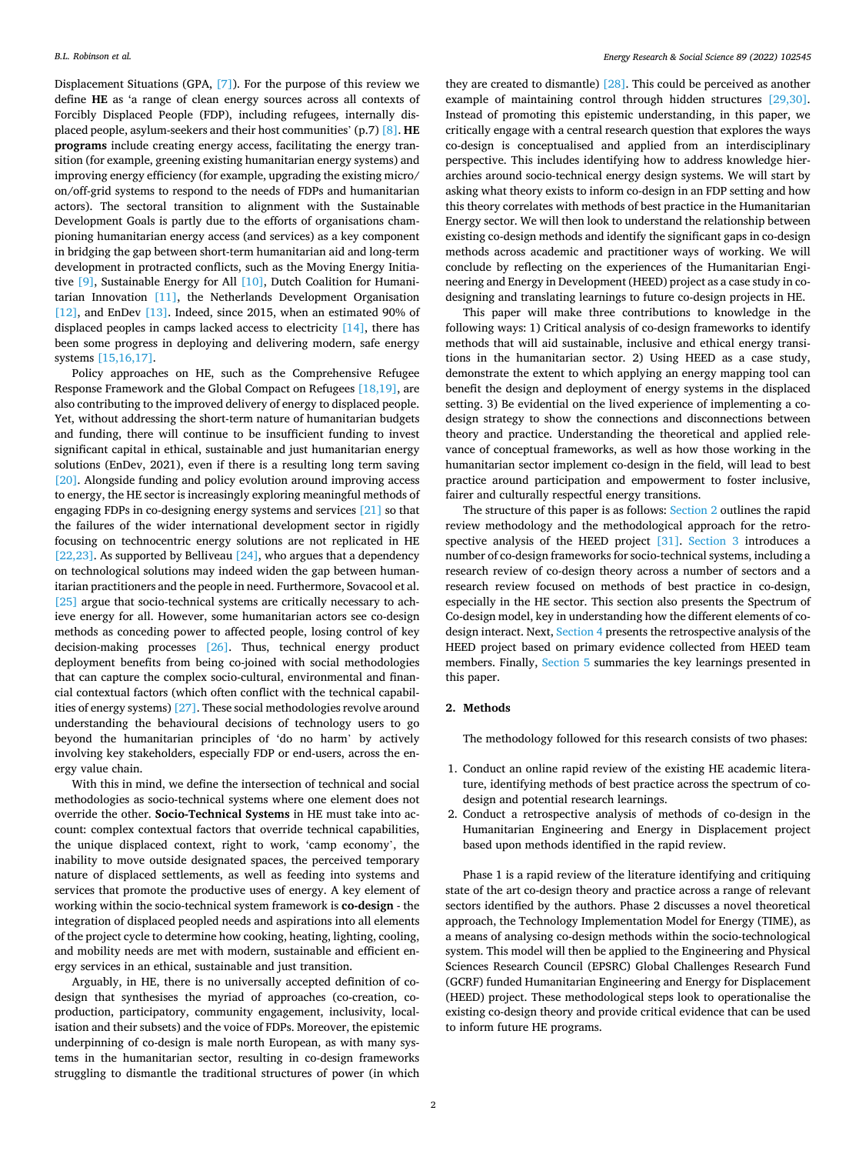Displacement Situations (GPA, [\[7\]](#page-9-0)). For the purpose of this review we define **HE** as 'a range of clean energy sources across all contexts of Forcibly Displaced People (FDP), including refugees, internally displaced people, asylum-seekers and their host communities' (p.7) [\[8\].](#page-9-0) **HE programs** include creating energy access, facilitating the energy transition (for example, greening existing humanitarian energy systems) and improving energy efficiency (for example, upgrading the existing micro/ on/off-grid systems to respond to the needs of FDPs and humanitarian actors). The sectoral transition to alignment with the Sustainable Development Goals is partly due to the efforts of organisations championing humanitarian energy access (and services) as a key component in bridging the gap between short-term humanitarian aid and long-term development in protracted conflicts, such as the Moving Energy Initiative [\[9\],](#page-9-0) Sustainable Energy for All [\[10\]](#page-9-0), Dutch Coalition for Humanitarian Innovation [\[11\],](#page-9-0) the Netherlands Development Organisation [\[12\]](#page-9-0), and EnDev [\[13\]](#page-9-0). Indeed, since 2015, when an estimated 90% of displaced peoples in camps lacked access to electricity  $[14]$ , there has been some progress in deploying and delivering modern, safe energy systems [\[15,16,17\]](#page-9-0).

Policy approaches on HE, such as the Comprehensive Refugee Response Framework and the Global Compact on Refugees [\[18,19\]](#page-9-0), are also contributing to the improved delivery of energy to displaced people. Yet, without addressing the short-term nature of humanitarian budgets and funding, there will continue to be insufficient funding to invest significant capital in ethical, sustainable and just humanitarian energy solutions (EnDev, 2021), even if there is a resulting long term saving [\[20\]](#page-9-0). Alongside funding and policy evolution around improving access to energy, the HE sector is increasingly exploring meaningful methods of engaging FDPs in co-designing energy systems and services [\[21\]](#page-9-0) so that the failures of the wider international development sector in rigidly focusing on technocentric energy solutions are not replicated in HE [\[22,23\].](#page-9-0) As supported by Belliveau  $[24]$ , who argues that a dependency on technological solutions may indeed widen the gap between humanitarian practitioners and the people in need. Furthermore, Sovacool et al. [\[25\]](#page-9-0) argue that socio-technical systems are critically necessary to achieve energy for all. However, some humanitarian actors see co-design methods as conceding power to affected people, losing control of key decision-making processes [\[26\]](#page-9-0). Thus, technical energy product deployment benefits from being co-joined with social methodologies that can capture the complex socio-cultural, environmental and financial contextual factors (which often conflict with the technical capabilities of energy systems) [\[27\]](#page-9-0). These social methodologies revolve around understanding the behavioural decisions of technology users to go beyond the humanitarian principles of 'do no harm' by actively involving key stakeholders, especially FDP or end-users, across the energy value chain.

With this in mind, we define the intersection of technical and social methodologies as socio-technical systems where one element does not override the other. **Socio-Technical Systems** in HE must take into account: complex contextual factors that override technical capabilities, the unique displaced context, right to work, 'camp economy', the inability to move outside designated spaces, the perceived temporary nature of displaced settlements, as well as feeding into systems and services that promote the productive uses of energy. A key element of working within the socio-technical system framework is **co-design** - the integration of displaced peopled needs and aspirations into all elements of the project cycle to determine how cooking, heating, lighting, cooling, and mobility needs are met with modern, sustainable and efficient energy services in an ethical, sustainable and just transition.

Arguably, in HE, there is no universally accepted definition of codesign that synthesises the myriad of approaches (co-creation, coproduction, participatory, community engagement, inclusivity, localisation and their subsets) and the voice of FDPs. Moreover, the epistemic underpinning of co-design is male north European, as with many systems in the humanitarian sector, resulting in co-design frameworks struggling to dismantle the traditional structures of power (in which

they are created to dismantle) [\[28\].](#page-9-0) This could be perceived as another example of maintaining control through hidden structures [\[29,30\]](#page-9-0). Instead of promoting this epistemic understanding, in this paper, we critically engage with a central research question that explores the ways co-design is conceptualised and applied from an interdisciplinary perspective. This includes identifying how to address knowledge hierarchies around socio-technical energy design systems. We will start by asking what theory exists to inform co-design in an FDP setting and how this theory correlates with methods of best practice in the Humanitarian Energy sector. We will then look to understand the relationship between existing co-design methods and identify the significant gaps in co-design methods across academic and practitioner ways of working. We will conclude by reflecting on the experiences of the Humanitarian Engineering and Energy in Development (HEED) project as a case study in codesigning and translating learnings to future co-design projects in HE.

This paper will make three contributions to knowledge in the following ways: 1) Critical analysis of co-design frameworks to identify methods that will aid sustainable, inclusive and ethical energy transitions in the humanitarian sector. 2) Using HEED as a case study, demonstrate the extent to which applying an energy mapping tool can benefit the design and deployment of energy systems in the displaced setting. 3) Be evidential on the lived experience of implementing a codesign strategy to show the connections and disconnections between theory and practice. Understanding the theoretical and applied relevance of conceptual frameworks, as well as how those working in the humanitarian sector implement co-design in the field, will lead to best practice around participation and empowerment to foster inclusive, fairer and culturally respectful energy transitions.

The structure of this paper is as follows: Section 2 outlines the rapid review methodology and the methodological approach for the retrospective analysis of the HEED project [\[31\]](#page-9-0). [Section 3](#page-4-0) introduces a number of co-design frameworks for socio-technical systems, including a research review of co-design theory across a number of sectors and a research review focused on methods of best practice in co-design, especially in the HE sector. This section also presents the Spectrum of Co-design model, key in understanding how the different elements of co-design interact. Next, [Section 4](#page-6-0) presents the retrospective analysis of the HEED project based on primary evidence collected from HEED team members. Finally, [Section 5](#page-8-0) summaries the key learnings presented in this paper.

# **2. Methods**

The methodology followed for this research consists of two phases:

- 1. Conduct an online rapid review of the existing HE academic literature, identifying methods of best practice across the spectrum of codesign and potential research learnings.
- 2. Conduct a retrospective analysis of methods of co-design in the Humanitarian Engineering and Energy in Displacement project based upon methods identified in the rapid review.

Phase 1 is a rapid review of the literature identifying and critiquing state of the art co-design theory and practice across a range of relevant sectors identified by the authors. Phase 2 discusses a novel theoretical approach, the Technology Implementation Model for Energy (TIME), as a means of analysing co-design methods within the socio-technological system. This model will then be applied to the Engineering and Physical Sciences Research Council (EPSRC) Global Challenges Research Fund (GCRF) funded Humanitarian Engineering and Energy for Displacement (HEED) project. These methodological steps look to operationalise the existing co-design theory and provide critical evidence that can be used to inform future HE programs.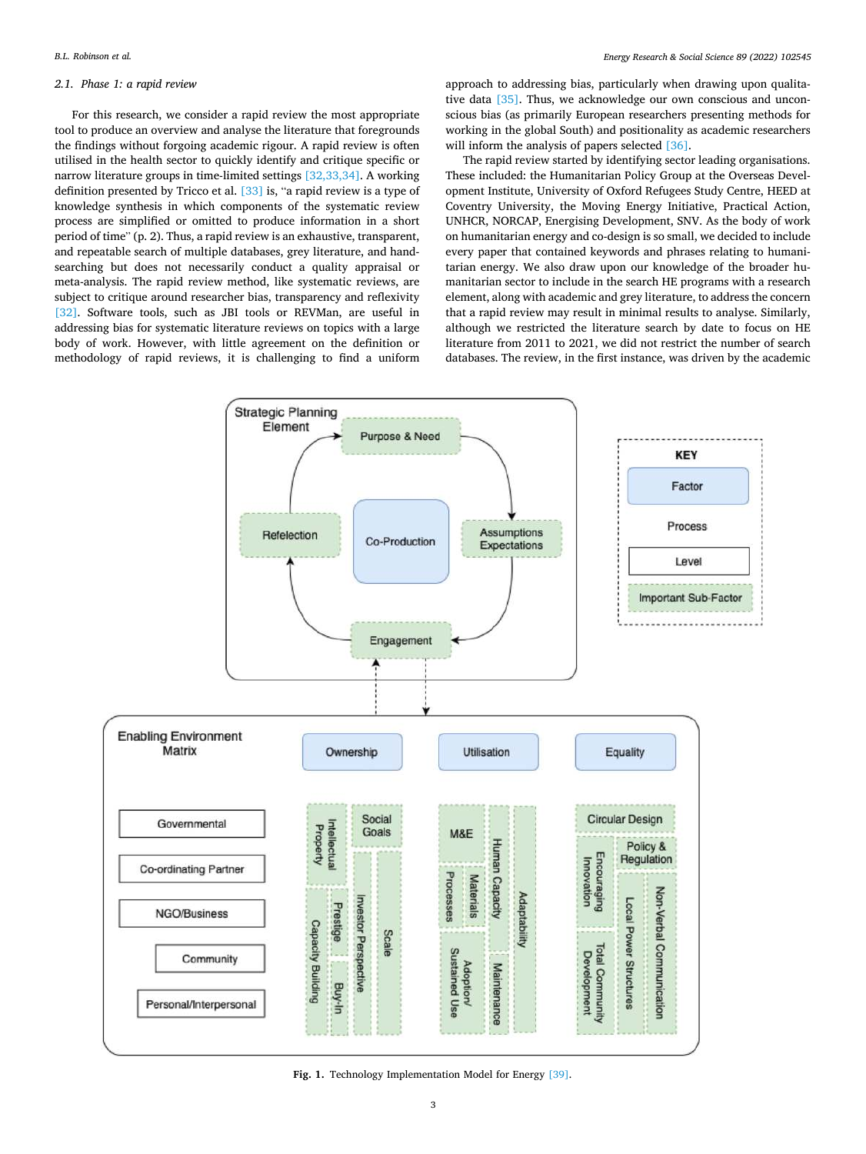### *Energy Research & Social Science 89 (2022) 102545*

# <span id="page-2-0"></span>*2.1. Phase 1: a rapid review*

For this research, we consider a rapid review the most appropriate tool to produce an overview and analyse the literature that foregrounds the findings without forgoing academic rigour. A rapid review is often utilised in the health sector to quickly identify and critique specific or narrow literature groups in time-limited settings [\[32,33,34\].](#page-9-0) A working definition presented by Tricco et al. [\[33\]](#page-9-0) is, "a rapid review is a type of knowledge synthesis in which components of the systematic review process are simplified or omitted to produce information in a short period of time" (p. 2). Thus, a rapid review is an exhaustive, transparent, and repeatable search of multiple databases, grey literature, and handsearching but does not necessarily conduct a quality appraisal or meta-analysis. The rapid review method, like systematic reviews, are subject to critique around researcher bias, transparency and reflexivity [\[32\]](#page-9-0). Software tools, such as JBI tools or REVMan, are useful in addressing bias for systematic literature reviews on topics with a large body of work. However, with little agreement on the definition or methodology of rapid reviews, it is challenging to find a uniform

approach to addressing bias, particularly when drawing upon qualitative data [\[35\]](#page-9-0). Thus, we acknowledge our own conscious and unconscious bias (as primarily European researchers presenting methods for working in the global South) and positionality as academic researchers will inform the analysis of papers selected [\[36\].](#page-9-0)

The rapid review started by identifying sector leading organisations. These included: the Humanitarian Policy Group at the Overseas Development Institute, University of Oxford Refugees Study Centre, HEED at Coventry University, the Moving Energy Initiative, Practical Action, UNHCR, NORCAP, Energising Development, SNV. As the body of work on humanitarian energy and co-design is so small, we decided to include every paper that contained keywords and phrases relating to humanitarian energy. We also draw upon our knowledge of the broader humanitarian sector to include in the search HE programs with a research element, along with academic and grey literature, to address the concern that a rapid review may result in minimal results to analyse. Similarly, although we restricted the literature search by date to focus on HE literature from 2011 to 2021, we did not restrict the number of search databases. The review, in the first instance, was driven by the academic



**Fig. 1.** Technology Implementation Model for Energy [\[39\]](#page-9-0).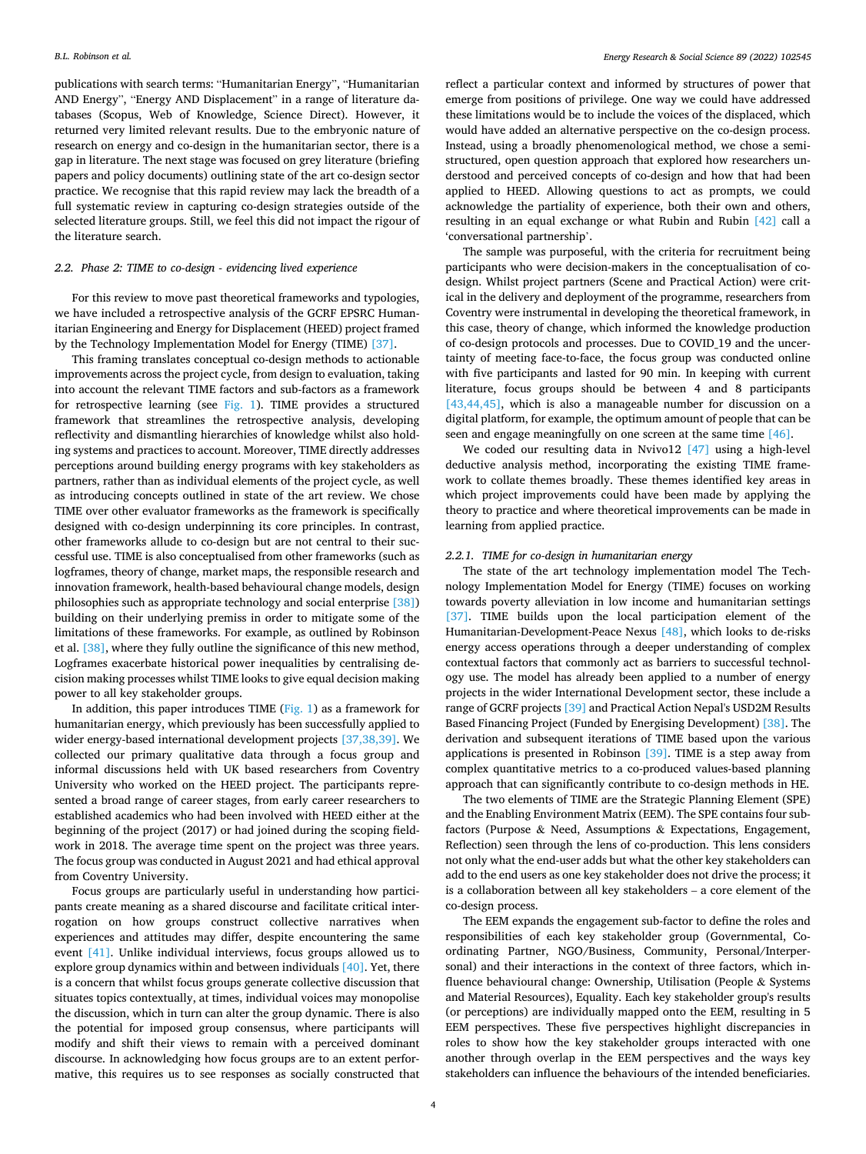publications with search terms: "Humanitarian Energy", "Humanitarian AND Energy", "Energy AND Displacement" in a range of literature databases (Scopus, Web of Knowledge, Science Direct). However, it returned very limited relevant results. Due to the embryonic nature of research on energy and co-design in the humanitarian sector, there is a gap in literature. The next stage was focused on grey literature (briefing papers and policy documents) outlining state of the art co-design sector practice. We recognise that this rapid review may lack the breadth of a full systematic review in capturing co-design strategies outside of the selected literature groups. Still, we feel this did not impact the rigour of the literature search.

# *2.2. Phase 2: TIME to co-design - evidencing lived experience*

For this review to move past theoretical frameworks and typologies, we have included a retrospective analysis of the GCRF EPSRC Humanitarian Engineering and Energy for Displacement (HEED) project framed by the Technology Implementation Model for Energy (TIME) [\[37\]](#page-9-0).

This framing translates conceptual co-design methods to actionable improvements across the project cycle, from design to evaluation, taking into account the relevant TIME factors and sub-factors as a framework for retrospective learning (see [Fig. 1](#page-2-0)). TIME provides a structured framework that streamlines the retrospective analysis, developing reflectivity and dismantling hierarchies of knowledge whilst also holding systems and practices to account. Moreover, TIME directly addresses perceptions around building energy programs with key stakeholders as partners, rather than as individual elements of the project cycle, as well as introducing concepts outlined in state of the art review. We chose TIME over other evaluator frameworks as the framework is specifically designed with co-design underpinning its core principles. In contrast, other frameworks allude to co-design but are not central to their successful use. TIME is also conceptualised from other frameworks (such as logframes, theory of change, market maps, the responsible research and innovation framework, health-based behavioural change models, design philosophies such as appropriate technology and social enterprise [\[38\]\)](#page-9-0) building on their underlying premiss in order to mitigate some of the limitations of these frameworks. For example, as outlined by Robinson et al. [\[38\],](#page-9-0) where they fully outline the significance of this new method, Logframes exacerbate historical power inequalities by centralising decision making processes whilst TIME looks to give equal decision making power to all key stakeholder groups.

In addition, this paper introduces TIME ([Fig. 1\)](#page-2-0) as a framework for humanitarian energy, which previously has been successfully applied to wider energy-based international development projects [\[37,38,39\].](#page-9-0) We collected our primary qualitative data through a focus group and informal discussions held with UK based researchers from Coventry University who worked on the HEED project. The participants represented a broad range of career stages, from early career researchers to established academics who had been involved with HEED either at the beginning of the project (2017) or had joined during the scoping fieldwork in 2018. The average time spent on the project was three years. The focus group was conducted in August 2021 and had ethical approval from Coventry University.

Focus groups are particularly useful in understanding how participants create meaning as a shared discourse and facilitate critical interrogation on how groups construct collective narratives when experiences and attitudes may differ, despite encountering the same event [\[41\]](#page-9-0). Unlike individual interviews, focus groups allowed us to explore group dynamics within and between individuals [\[40\].](#page-9-0) Yet, there is a concern that whilst focus groups generate collective discussion that situates topics contextually, at times, individual voices may monopolise the discussion, which in turn can alter the group dynamic. There is also the potential for imposed group consensus, where participants will modify and shift their views to remain with a perceived dominant discourse. In acknowledging how focus groups are to an extent performative, this requires us to see responses as socially constructed that reflect a particular context and informed by structures of power that emerge from positions of privilege. One way we could have addressed these limitations would be to include the voices of the displaced, which would have added an alternative perspective on the co-design process. Instead, using a broadly phenomenological method, we chose a semistructured, open question approach that explored how researchers understood and perceived concepts of co-design and how that had been applied to HEED. Allowing questions to act as prompts, we could acknowledge the partiality of experience, both their own and others, resulting in an equal exchange or what Rubin and Rubin [\[42\]](#page-9-0) call a 'conversational partnership'.

The sample was purposeful, with the criteria for recruitment being participants who were decision-makers in the conceptualisation of codesign. Whilst project partners (Scene and Practical Action) were critical in the delivery and deployment of the programme, researchers from Coventry were instrumental in developing the theoretical framework, in this case, theory of change, which informed the knowledge production of co-design protocols and processes. Due to COVID\_19 and the uncertainty of meeting face-to-face, the focus group was conducted online with five participants and lasted for 90 min. In keeping with current literature, focus groups should be between 4 and 8 participants [\[43,44,45\],](#page-9-0) which is also a manageable number for discussion on a digital platform, for example, the optimum amount of people that can be seen and engage meaningfully on one screen at the same time [\[46\]](#page-9-0).

We coded our resulting data in Nvivo12 [\[47\]](#page-9-0) using a high-level deductive analysis method, incorporating the existing TIME framework to collate themes broadly. These themes identified key areas in which project improvements could have been made by applying the theory to practice and where theoretical improvements can be made in learning from applied practice.

### *2.2.1. TIME for co-design in humanitarian energy*

The state of the art technology implementation model The Technology Implementation Model for Energy (TIME) focuses on working towards poverty alleviation in low income and humanitarian settings [\[37\]](#page-9-0). TIME builds upon the local participation element of the Humanitarian-Development-Peace Nexus [\[48\]](#page-9-0), which looks to de-risks energy access operations through a deeper understanding of complex contextual factors that commonly act as barriers to successful technology use. The model has already been applied to a number of energy projects in the wider International Development sector, these include a range of GCRF projects [\[39\]](#page-9-0) and Practical Action Nepal's USD2M Results Based Financing Project (Funded by Energising Development) [\[38\]](#page-9-0). The derivation and subsequent iterations of TIME based upon the various applications is presented in Robinson [\[39\]](#page-9-0). TIME is a step away from complex quantitative metrics to a co-produced values-based planning approach that can significantly contribute to co-design methods in HE.

The two elements of TIME are the Strategic Planning Element (SPE) and the Enabling Environment Matrix (EEM). The SPE contains four subfactors (Purpose & Need, Assumptions & Expectations, Engagement, Reflection) seen through the lens of co-production. This lens considers not only what the end-user adds but what the other key stakeholders can add to the end users as one key stakeholder does not drive the process; it is a collaboration between all key stakeholders – a core element of the co-design process.

The EEM expands the engagement sub-factor to define the roles and responsibilities of each key stakeholder group (Governmental, Coordinating Partner, NGO/Business, Community, Personal/Interpersonal) and their interactions in the context of three factors, which influence behavioural change: Ownership, Utilisation (People & Systems and Material Resources), Equality. Each key stakeholder group's results (or perceptions) are individually mapped onto the EEM, resulting in 5 EEM perspectives. These five perspectives highlight discrepancies in roles to show how the key stakeholder groups interacted with one another through overlap in the EEM perspectives and the ways key stakeholders can influence the behaviours of the intended beneficiaries.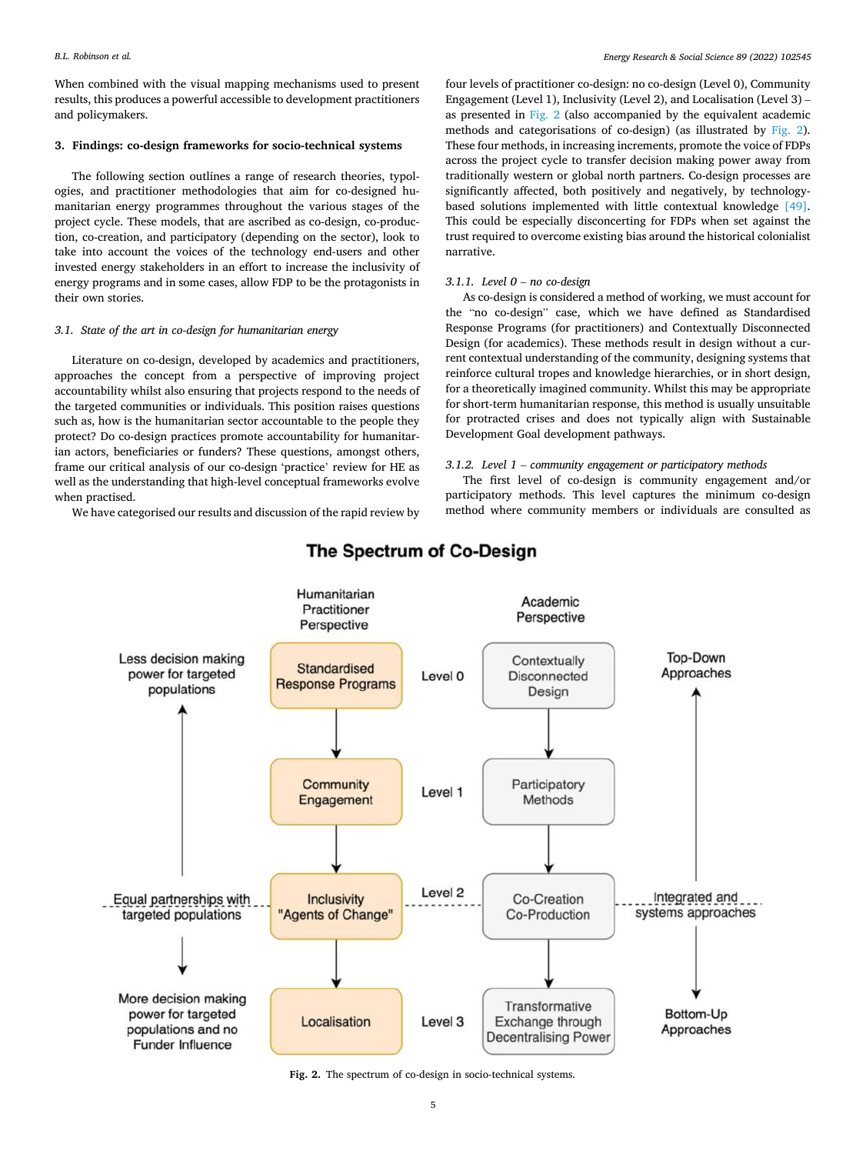<span id="page-4-0"></span>When combined with the visual mapping mechanisms used to present results, this produces a powerful accessible to development practitioners and policymakers.

# **3. Findings: co-design frameworks for socio-technical systems**

The following section outlines a range of research theories, typologies, and practitioner methodologies that aim for co-designed humanitarian energy programmes throughout the various stages of the project cycle. These models, that are ascribed as co-design, co-production, co-creation, and participatory (depending on the sector), look to take into account the voices of the technology end-users and other invested energy stakeholders in an effort to increase the inclusivity of energy programs and in some cases, allow FDP to be the protagonists in their own stories.

# *3.1. State of the art in co-design for humanitarian energy*

Literature on co-design, developed by academics and practitioners, approaches the concept from a perspective of improving project accountability whilst also ensuring that projects respond to the needs of the targeted communities or individuals. This position raises questions such as, how is the humanitarian sector accountable to the people they protect? Do co-design practices promote accountability for humanitarian actors, beneficiaries or funders? These questions, amongst others, frame our critical analysis of our co-design 'practice' review for HE as well as the understanding that high-level conceptual frameworks evolve when practised.

We have categorised our results and discussion of the rapid review by

four levels of practitioner co-design: no co-design (Level 0), Community Engagement (Level 1), Inclusivity (Level 2), and Localisation (Level 3) – as presented in Fig. 2 (also accompanied by the equivalent academic methods and categorisations of co-design) (as illustrated by Fig. 2). These four methods, in increasing increments, promote the voice of FDPs across the project cycle to transfer decision making power away from traditionally western or global north partners. Co-design processes are significantly affected, both positively and negatively, by technologybased solutions implemented with little contextual knowledge [\[49\]](#page-9-0). This could be especially disconcerting for FDPs when set against the trust required to overcome existing bias around the historical colonialist narrative.

### *3.1.1. Level 0* – *no co-design*

As co-design is considered a method of working, we must account for the "no co-design" case, which we have defined as Standardised Response Programs (for practitioners) and Contextually Disconnected Design (for academics). These methods result in design without a current contextual understanding of the community, designing systems that reinforce cultural tropes and knowledge hierarchies, or in short design, for a theoretically imagined community. Whilst this may be appropriate for short-term humanitarian response, this method is usually unsuitable for protracted crises and does not typically align with Sustainable Development Goal development pathways.

# *3.1.2. Level 1* – *community engagement or participatory methods*

The first level of co-design is community engagement and/or participatory methods. This level captures the minimum co-design method where community members or individuals are consulted as



# The Spectrum of Co-Design

**Fig. 2.** The spectrum of co-design in socio-technical systems.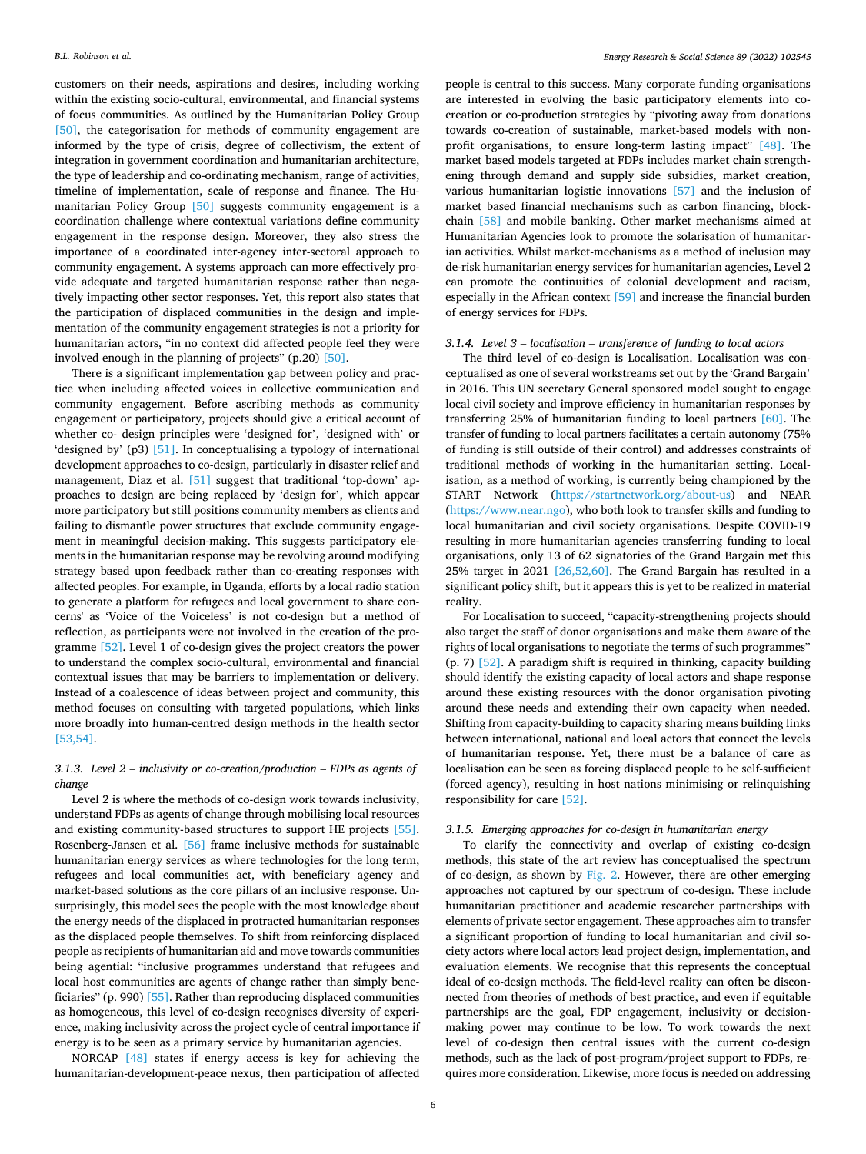customers on their needs, aspirations and desires, including working within the existing socio-cultural, environmental, and financial systems of focus communities. As outlined by the Humanitarian Policy Group [\[50\]](#page-9-0), the categorisation for methods of community engagement are informed by the type of crisis, degree of collectivism, the extent of integration in government coordination and humanitarian architecture, the type of leadership and co-ordinating mechanism, range of activities, timeline of implementation, scale of response and finance. The Humanitarian Policy Group [\[50\]](#page-9-0) suggests community engagement is a coordination challenge where contextual variations define community engagement in the response design. Moreover, they also stress the importance of a coordinated inter-agency inter-sectoral approach to community engagement. A systems approach can more effectively provide adequate and targeted humanitarian response rather than negatively impacting other sector responses. Yet, this report also states that the participation of displaced communities in the design and implementation of the community engagement strategies is not a priority for humanitarian actors, "in no context did affected people feel they were involved enough in the planning of projects" (p.20) [\[50\]](#page-9-0).

There is a significant implementation gap between policy and practice when including affected voices in collective communication and community engagement. Before ascribing methods as community engagement or participatory, projects should give a critical account of whether co- design principles were 'designed for', 'designed with' or 'designed by' (p3) [\[51\].](#page-9-0) In conceptualising a typology of international development approaches to co-design, particularly in disaster relief and management, Diaz et al. [\[51\]](#page-9-0) suggest that traditional 'top-down' approaches to design are being replaced by 'design for', which appear more participatory but still positions community members as clients and failing to dismantle power structures that exclude community engagement in meaningful decision-making. This suggests participatory elements in the humanitarian response may be revolving around modifying strategy based upon feedback rather than co-creating responses with affected peoples. For example, in Uganda, efforts by a local radio station to generate a platform for refugees and local government to share concerns' as 'Voice of the Voiceless' is not co-design but a method of reflection, as participants were not involved in the creation of the programme [\[52\]](#page-9-0). Level 1 of co-design gives the project creators the power to understand the complex socio-cultural, environmental and financial contextual issues that may be barriers to implementation or delivery. Instead of a coalescence of ideas between project and community, this method focuses on consulting with targeted populations, which links more broadly into human-centred design methods in the health sector [\[53,54\].](#page-9-0)

# *3.1.3. Level 2* – *inclusivity or co-creation/production* – *FDPs as agents of change*

Level 2 is where the methods of co-design work towards inclusivity, understand FDPs as agents of change through mobilising local resources and existing community-based structures to support HE projects [\[55\]](#page-9-0). Rosenberg-Jansen et al. [\[56\]](#page-9-0) frame inclusive methods for sustainable humanitarian energy services as where technologies for the long term, refugees and local communities act, with beneficiary agency and market-based solutions as the core pillars of an inclusive response. Unsurprisingly, this model sees the people with the most knowledge about the energy needs of the displaced in protracted humanitarian responses as the displaced people themselves. To shift from reinforcing displaced people as recipients of humanitarian aid and move towards communities being agential: "inclusive programmes understand that refugees and local host communities are agents of change rather than simply beneficiaries" (p. 990) [\[55\].](#page-9-0) Rather than reproducing displaced communities as homogeneous, this level of co-design recognises diversity of experience, making inclusivity across the project cycle of central importance if energy is to be seen as a primary service by humanitarian agencies.

NORCAP [\[48\]](#page-9-0) states if energy access is key for achieving the humanitarian-development-peace nexus, then participation of affected

people is central to this success. Many corporate funding organisations are interested in evolving the basic participatory elements into cocreation or co-production strategies by "pivoting away from donations towards co-creation of sustainable, market-based models with nonprofit organisations, to ensure long-term lasting impact" [\[48\].](#page-9-0) The market based models targeted at FDPs includes market chain strengthening through demand and supply side subsidies, market creation, various humanitarian logistic innovations [\[57\]](#page-9-0) and the inclusion of market based financial mechanisms such as carbon financing, blockchain [\[58\]](#page-9-0) and mobile banking. Other market mechanisms aimed at Humanitarian Agencies look to promote the solarisation of humanitarian activities. Whilst market-mechanisms as a method of inclusion may de-risk humanitarian energy services for humanitarian agencies, Level 2 can promote the continuities of colonial development and racism, especially in the African context [\[59\]](#page-10-0) and increase the financial burden of energy services for FDPs.

# *3.1.4. Level 3* – *localisation* – *transference of funding to local actors*

The third level of co-design is Localisation. Localisation was conceptualised as one of several workstreams set out by the 'Grand Bargain' in 2016. This UN secretary General sponsored model sought to engage local civil society and improve efficiency in humanitarian responses by transferring 25% of humanitarian funding to local partners [\[60\]](#page-10-0). The transfer of funding to local partners facilitates a certain autonomy (75% of funding is still outside of their control) and addresses constraints of traditional methods of working in the humanitarian setting. Localisation, as a method of working, is currently being championed by the START Network [\(https://startnetwork.org/about-us\)](https://startnetwork.org/about-us) and NEAR (<https://www.near.ngo>), who both look to transfer skills and funding to local humanitarian and civil society organisations. Despite COVID-19 resulting in more humanitarian agencies transferring funding to local organisations, only 13 of 62 signatories of the Grand Bargain met this 25% target in 2021 [\[26,52,60\]](#page-9-0). The Grand Bargain has resulted in a significant policy shift, but it appears this is yet to be realized in material reality.

For Localisation to succeed, "capacity-strengthening projects should also target the staff of donor organisations and make them aware of the rights of local organisations to negotiate the terms of such programmes" (p. 7) [\[52\].](#page-9-0) A paradigm shift is required in thinking, capacity building should identify the existing capacity of local actors and shape response around these existing resources with the donor organisation pivoting around these needs and extending their own capacity when needed. Shifting from capacity-building to capacity sharing means building links between international, national and local actors that connect the levels of humanitarian response. Yet, there must be a balance of care as localisation can be seen as forcing displaced people to be self-sufficient (forced agency), resulting in host nations minimising or relinquishing responsibility for care [\[52\].](#page-9-0)

### *3.1.5. Emerging approaches for co-design in humanitarian energy*

To clarify the connectivity and overlap of existing co-design methods, this state of the art review has conceptualised the spectrum of co-design, as shown by [Fig. 2.](#page-4-0) However, there are other emerging approaches not captured by our spectrum of co-design. These include humanitarian practitioner and academic researcher partnerships with elements of private sector engagement. These approaches aim to transfer a significant proportion of funding to local humanitarian and civil society actors where local actors lead project design, implementation, and evaluation elements. We recognise that this represents the conceptual ideal of co-design methods. The field-level reality can often be disconnected from theories of methods of best practice, and even if equitable partnerships are the goal, FDP engagement, inclusivity or decisionmaking power may continue to be low. To work towards the next level of co-design then central issues with the current co-design methods, such as the lack of post-program/project support to FDPs, requires more consideration. Likewise, more focus is needed on addressing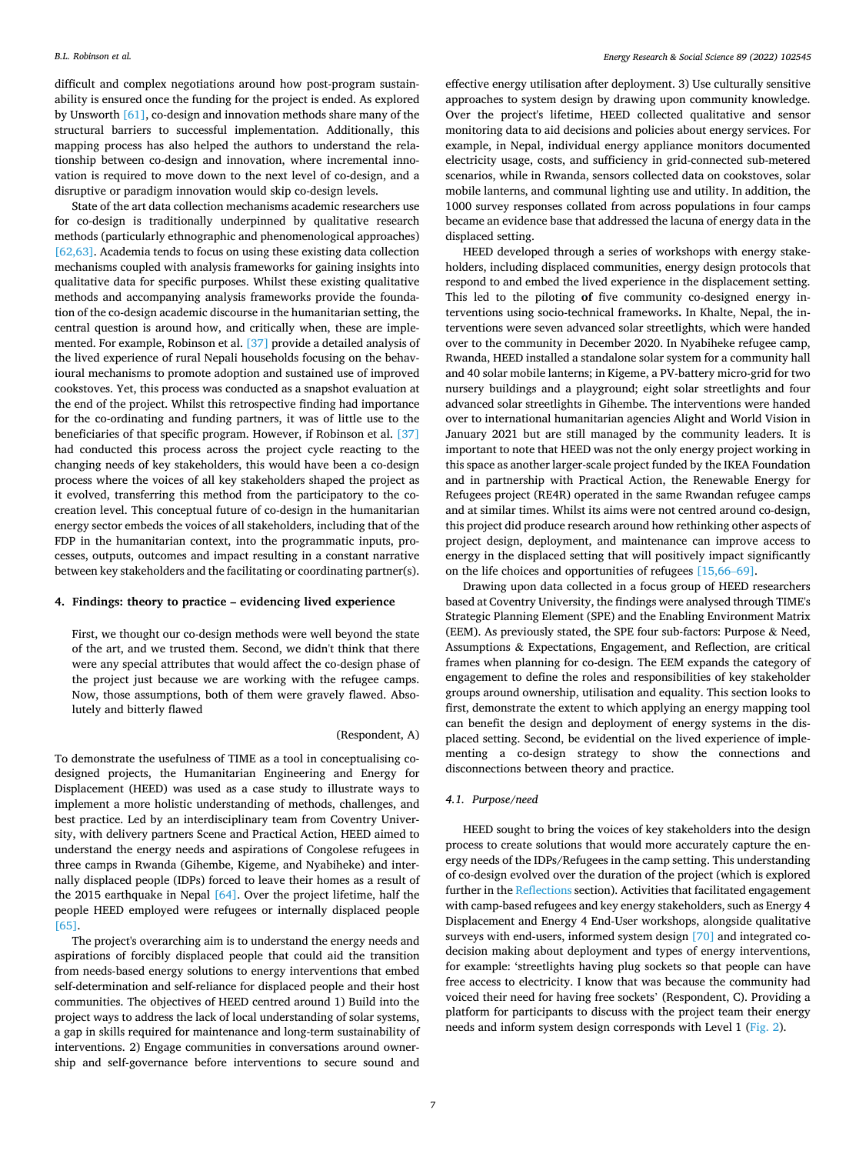<span id="page-6-0"></span>difficult and complex negotiations around how post-program sustainability is ensured once the funding for the project is ended. As explored by Unsworth [\[61\]](#page-10-0), co-design and innovation methods share many of the structural barriers to successful implementation. Additionally, this mapping process has also helped the authors to understand the relationship between co-design and innovation, where incremental innovation is required to move down to the next level of co-design, and a disruptive or paradigm innovation would skip co-design levels.

State of the art data collection mechanisms academic researchers use for co-design is traditionally underpinned by qualitative research methods (particularly ethnographic and phenomenological approaches) [\[62,63\].](#page-10-0) Academia tends to focus on using these existing data collection mechanisms coupled with analysis frameworks for gaining insights into qualitative data for specific purposes. Whilst these existing qualitative methods and accompanying analysis frameworks provide the foundation of the co-design academic discourse in the humanitarian setting, the central question is around how, and critically when, these are implemented. For example, Robinson et al. [\[37\]](#page-9-0) provide a detailed analysis of the lived experience of rural Nepali households focusing on the behavioural mechanisms to promote adoption and sustained use of improved cookstoves. Yet, this process was conducted as a snapshot evaluation at the end of the project. Whilst this retrospective finding had importance for the co-ordinating and funding partners, it was of little use to the beneficiaries of that specific program. However, if Robinson et al. [\[37\]](#page-9-0)  had conducted this process across the project cycle reacting to the changing needs of key stakeholders, this would have been a co-design process where the voices of all key stakeholders shaped the project as it evolved, transferring this method from the participatory to the cocreation level. This conceptual future of co-design in the humanitarian energy sector embeds the voices of all stakeholders, including that of the FDP in the humanitarian context, into the programmatic inputs, processes, outputs, outcomes and impact resulting in a constant narrative between key stakeholders and the facilitating or coordinating partner(s).

### **4. Findings: theory to practice – evidencing lived experience**

First, we thought our co-design methods were well beyond the state of the art, and we trusted them. Second, we didn't think that there were any special attributes that would affect the co-design phase of the project just because we are working with the refugee camps. Now, those assumptions, both of them were gravely flawed. Absolutely and bitterly flawed

# (Respondent, A)

To demonstrate the usefulness of TIME as a tool in conceptualising codesigned projects, the Humanitarian Engineering and Energy for Displacement (HEED) was used as a case study to illustrate ways to implement a more holistic understanding of methods, challenges, and best practice. Led by an interdisciplinary team from Coventry University, with delivery partners Scene and Practical Action, HEED aimed to understand the energy needs and aspirations of Congolese refugees in three camps in Rwanda (Gihembe, Kigeme, and Nyabiheke) and internally displaced people (IDPs) forced to leave their homes as a result of the 2015 earthquake in Nepal [\[64\]](#page-10-0). Over the project lifetime, half the people HEED employed were refugees or internally displaced people [\[65\]](#page-10-0).

The project's overarching aim is to understand the energy needs and aspirations of forcibly displaced people that could aid the transition from needs-based energy solutions to energy interventions that embed self-determination and self-reliance for displaced people and their host communities. The objectives of HEED centred around 1) Build into the project ways to address the lack of local understanding of solar systems, a gap in skills required for maintenance and long-term sustainability of interventions. 2) Engage communities in conversations around ownership and self-governance before interventions to secure sound and

effective energy utilisation after deployment. 3) Use culturally sensitive approaches to system design by drawing upon community knowledge. Over the project's lifetime, HEED collected qualitative and sensor monitoring data to aid decisions and policies about energy services. For example, in Nepal, individual energy appliance monitors documented electricity usage, costs, and sufficiency in grid-connected sub-metered scenarios, while in Rwanda, sensors collected data on cookstoves, solar mobile lanterns, and communal lighting use and utility. In addition, the 1000 survey responses collated from across populations in four camps became an evidence base that addressed the lacuna of energy data in the displaced setting.

HEED developed through a series of workshops with energy stakeholders, including displaced communities, energy design protocols that respond to and embed the lived experience in the displacement setting. This led to the piloting **of** five community co-designed energy interventions using socio-technical frameworks**.** In Khalte, Nepal, the interventions were seven advanced solar streetlights, which were handed over to the community in December 2020. In Nyabiheke refugee camp, Rwanda, HEED installed a standalone solar system for a community hall and 40 solar mobile lanterns; in Kigeme, a PV-battery micro-grid for two nursery buildings and a playground; eight solar streetlights and four advanced solar streetlights in Gihembe. The interventions were handed over to international humanitarian agencies Alight and World Vision in January 2021 but are still managed by the community leaders. It is important to note that HEED was not the only energy project working in this space as another larger-scale project funded by the IKEA Foundation and in partnership with Practical Action, the Renewable Energy for Refugees project (RE4R) operated in the same Rwandan refugee camps and at similar times. Whilst its aims were not centred around co-design, this project did produce research around how rethinking other aspects of project design, deployment, and maintenance can improve access to energy in the displaced setting that will positively impact significantly on the life choices and opportunities of refugees [\[15,66](#page-9-0)–69].

Drawing upon data collected in a focus group of HEED researchers based at Coventry University, the findings were analysed through TIME's Strategic Planning Element (SPE) and the Enabling Environment Matrix (EEM). As previously stated, the SPE four sub-factors: Purpose & Need, Assumptions & Expectations, Engagement, and Reflection, are critical frames when planning for co-design. The EEM expands the category of engagement to define the roles and responsibilities of key stakeholder groups around ownership, utilisation and equality. This section looks to first, demonstrate the extent to which applying an energy mapping tool can benefit the design and deployment of energy systems in the displaced setting. Second, be evidential on the lived experience of implementing a co-design strategy to show the connections and disconnections between theory and practice.

# *4.1. Purpose/need*

HEED sought to bring the voices of key stakeholders into the design process to create solutions that would more accurately capture the energy needs of the IDPs/Refugees in the camp setting. This understanding of co-design evolved over the duration of the project (which is explored further in the [Reflections](#page-8-0) section). Activities that facilitated engagement with camp-based refugees and key energy stakeholders, such as Energy 4 Displacement and Energy 4 End-User workshops, alongside qualitative surveys with end-users, informed system design [\[70\]](#page-10-0) and integrated codecision making about deployment and types of energy interventions, for example: 'streetlights having plug sockets so that people can have free access to electricity. I know that was because the community had voiced their need for having free sockets' (Respondent, C). Providing a platform for participants to discuss with the project team their energy needs and inform system design corresponds with Level 1 [\(Fig. 2](#page-4-0)).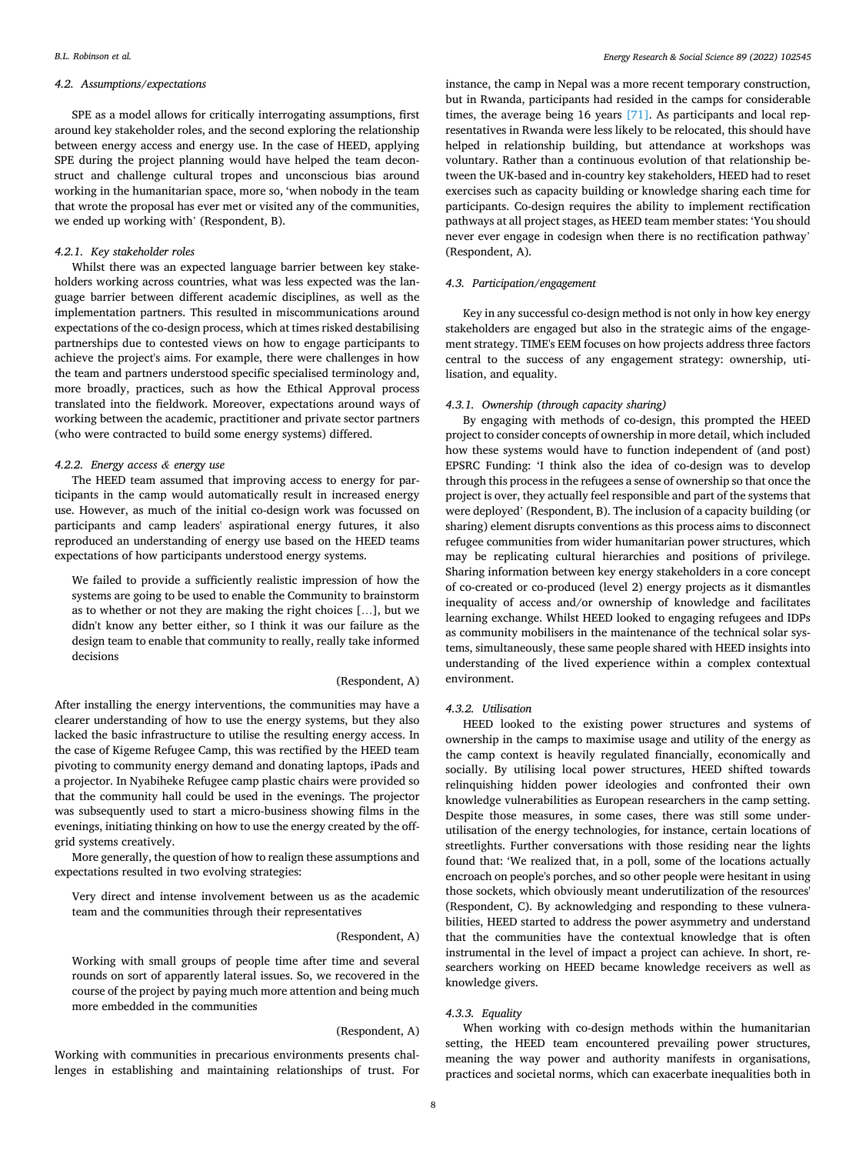# *4.2. Assumptions/expectations*

SPE as a model allows for critically interrogating assumptions, first around key stakeholder roles, and the second exploring the relationship between energy access and energy use. In the case of HEED, applying SPE during the project planning would have helped the team deconstruct and challenge cultural tropes and unconscious bias around working in the humanitarian space, more so, 'when nobody in the team that wrote the proposal has ever met or visited any of the communities, we ended up working with' (Respondent, B).

# *4.2.1. Key stakeholder roles*

Whilst there was an expected language barrier between key stakeholders working across countries, what was less expected was the language barrier between different academic disciplines, as well as the implementation partners. This resulted in miscommunications around expectations of the co-design process, which at times risked destabilising partnerships due to contested views on how to engage participants to achieve the project's aims. For example, there were challenges in how the team and partners understood specific specialised terminology and, more broadly, practices, such as how the Ethical Approval process translated into the fieldwork. Moreover, expectations around ways of working between the academic, practitioner and private sector partners (who were contracted to build some energy systems) differed.

# *4.2.2. Energy access & energy use*

The HEED team assumed that improving access to energy for participants in the camp would automatically result in increased energy use. However, as much of the initial co-design work was focussed on participants and camp leaders' aspirational energy futures, it also reproduced an understanding of energy use based on the HEED teams expectations of how participants understood energy systems.

We failed to provide a sufficiently realistic impression of how the systems are going to be used to enable the Community to brainstorm as to whether or not they are making the right choices […], but we didn't know any better either, so I think it was our failure as the design team to enable that community to really, really take informed decisions

# (Respondent, A)

After installing the energy interventions, the communities may have a clearer understanding of how to use the energy systems, but they also lacked the basic infrastructure to utilise the resulting energy access. In the case of Kigeme Refugee Camp, this was rectified by the HEED team pivoting to community energy demand and donating laptops, iPads and a projector. In Nyabiheke Refugee camp plastic chairs were provided so that the community hall could be used in the evenings. The projector was subsequently used to start a micro-business showing films in the evenings, initiating thinking on how to use the energy created by the offgrid systems creatively.

More generally, the question of how to realign these assumptions and expectations resulted in two evolving strategies:

Very direct and intense involvement between us as the academic team and the communities through their representatives

#### (Respondent, A)

Working with small groups of people time after time and several rounds on sort of apparently lateral issues. So, we recovered in the course of the project by paying much more attention and being much more embedded in the communities

# (Respondent, A)

Working with communities in precarious environments presents challenges in establishing and maintaining relationships of trust. For

instance, the camp in Nepal was a more recent temporary construction, but in Rwanda, participants had resided in the camps for considerable times, the average being 16 years [\[71\].](#page-10-0) As participants and local representatives in Rwanda were less likely to be relocated, this should have helped in relationship building, but attendance at workshops was voluntary. Rather than a continuous evolution of that relationship between the UK-based and in-country key stakeholders, HEED had to reset exercises such as capacity building or knowledge sharing each time for participants. Co-design requires the ability to implement rectification pathways at all project stages, as HEED team member states: 'You should never ever engage in codesign when there is no rectification pathway' (Respondent, A).

### *4.3. Participation/engagement*

Key in any successful co-design method is not only in how key energy stakeholders are engaged but also in the strategic aims of the engagement strategy. TIME's EEM focuses on how projects address three factors central to the success of any engagement strategy: ownership, utilisation, and equality.

# *4.3.1. Ownership (through capacity sharing)*

By engaging with methods of co-design, this prompted the HEED project to consider concepts of ownership in more detail, which included how these systems would have to function independent of (and post) EPSRC Funding: 'I think also the idea of co-design was to develop through this process in the refugees a sense of ownership so that once the project is over, they actually feel responsible and part of the systems that were deployed' (Respondent, B). The inclusion of a capacity building (or sharing) element disrupts conventions as this process aims to disconnect refugee communities from wider humanitarian power structures, which may be replicating cultural hierarchies and positions of privilege. Sharing information between key energy stakeholders in a core concept of co-created or co-produced (level 2) energy projects as it dismantles inequality of access and/or ownership of knowledge and facilitates learning exchange. Whilst HEED looked to engaging refugees and IDPs as community mobilisers in the maintenance of the technical solar systems, simultaneously, these same people shared with HEED insights into understanding of the lived experience within a complex contextual environment.

# *4.3.2. Utilisation*

HEED looked to the existing power structures and systems of ownership in the camps to maximise usage and utility of the energy as the camp context is heavily regulated financially, economically and socially. By utilising local power structures, HEED shifted towards relinquishing hidden power ideologies and confronted their own knowledge vulnerabilities as European researchers in the camp setting. Despite those measures, in some cases, there was still some underutilisation of the energy technologies, for instance, certain locations of streetlights. Further conversations with those residing near the lights found that: 'We realized that, in a poll, some of the locations actually encroach on people's porches, and so other people were hesitant in using those sockets, which obviously meant underutilization of the resources' (Respondent, C). By acknowledging and responding to these vulnerabilities, HEED started to address the power asymmetry and understand that the communities have the contextual knowledge that is often instrumental in the level of impact a project can achieve. In short, researchers working on HEED became knowledge receivers as well as knowledge givers.

# *4.3.3. Equality*

When working with co-design methods within the humanitarian setting, the HEED team encountered prevailing power structures, meaning the way power and authority manifests in organisations, practices and societal norms, which can exacerbate inequalities both in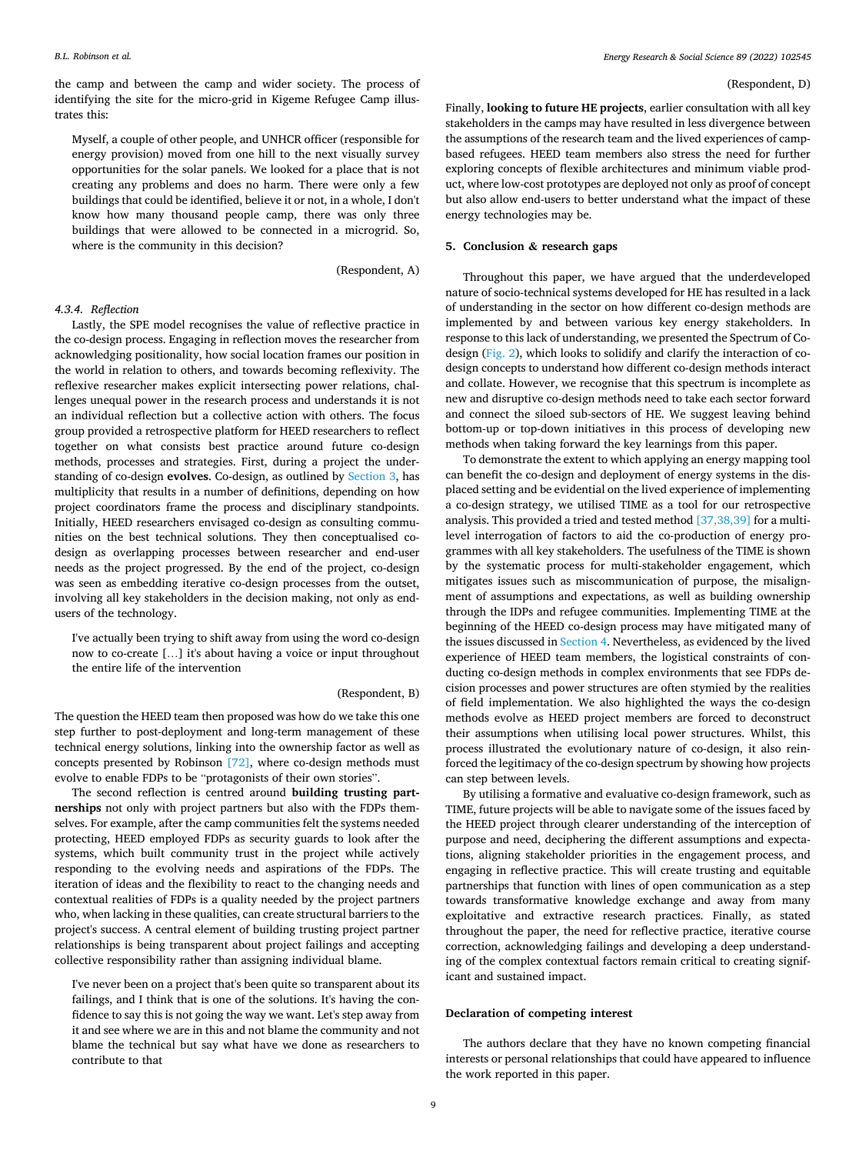<span id="page-8-0"></span>the camp and between the camp and wider society. The process of identifying the site for the micro-grid in Kigeme Refugee Camp illustrates this:

Myself, a couple of other people, and UNHCR officer (responsible for energy provision) moved from one hill to the next visually survey opportunities for the solar panels. We looked for a place that is not creating any problems and does no harm. There were only a few buildings that could be identified, believe it or not, in a whole, I don't know how many thousand people camp, there was only three buildings that were allowed to be connected in a microgrid. So, where is the community in this decision?

(Respondent, A)

# *4.3.4. Reflection*

Lastly, the SPE model recognises the value of reflective practice in the co-design process. Engaging in reflection moves the researcher from acknowledging positionality, how social location frames our position in the world in relation to others, and towards becoming reflexivity. The reflexive researcher makes explicit intersecting power relations, challenges unequal power in the research process and understands it is not an individual reflection but a collective action with others. The focus group provided a retrospective platform for HEED researchers to reflect together on what consists best practice around future co-design methods, processes and strategies. First, during a project the understanding of co-design **evolves**. Co-design, as outlined by [Section 3](#page-4-0), has multiplicity that results in a number of definitions, depending on how project coordinators frame the process and disciplinary standpoints. Initially, HEED researchers envisaged co-design as consulting communities on the best technical solutions. They then conceptualised codesign as overlapping processes between researcher and end-user needs as the project progressed. By the end of the project, co-design was seen as embedding iterative co-design processes from the outset, involving all key stakeholders in the decision making, not only as endusers of the technology.

I've actually been trying to shift away from using the word co-design now to co-create […] it's about having a voice or input throughout the entire life of the intervention

### (Respondent, B)

The question the HEED team then proposed was how do we take this one step further to post-deployment and long-term management of these technical energy solutions, linking into the ownership factor as well as concepts presented by Robinson [\[72\],](#page-10-0) where co-design methods must evolve to enable FDPs to be "protagonists of their own stories".

The second reflection is centred around **building trusting partnerships** not only with project partners but also with the FDPs themselves. For example, after the camp communities felt the systems needed protecting, HEED employed FDPs as security guards to look after the systems, which built community trust in the project while actively responding to the evolving needs and aspirations of the FDPs. The iteration of ideas and the flexibility to react to the changing needs and contextual realities of FDPs is a quality needed by the project partners who, when lacking in these qualities, can create structural barriers to the project's success. A central element of building trusting project partner relationships is being transparent about project failings and accepting collective responsibility rather than assigning individual blame.

I've never been on a project that's been quite so transparent about its failings, and I think that is one of the solutions. It's having the confidence to say this is not going the way we want. Let's step away from it and see where we are in this and not blame the community and not blame the technical but say what have we done as researchers to contribute to that

#### (Respondent, D)

Finally, **looking to future HE projects**, earlier consultation with all key stakeholders in the camps may have resulted in less divergence between the assumptions of the research team and the lived experiences of campbased refugees. HEED team members also stress the need for further exploring concepts of flexible architectures and minimum viable product, where low-cost prototypes are deployed not only as proof of concept but also allow end-users to better understand what the impact of these energy technologies may be.

# **5. Conclusion & research gaps**

Throughout this paper, we have argued that the underdeveloped nature of socio-technical systems developed for HE has resulted in a lack of understanding in the sector on how different co-design methods are implemented by and between various key energy stakeholders. In response to this lack of understanding, we presented the Spectrum of Codesign ([Fig. 2](#page-4-0)), which looks to solidify and clarify the interaction of codesign concepts to understand how different co-design methods interact and collate. However, we recognise that this spectrum is incomplete as new and disruptive co-design methods need to take each sector forward and connect the siloed sub-sectors of HE. We suggest leaving behind bottom-up or top-down initiatives in this process of developing new methods when taking forward the key learnings from this paper.

To demonstrate the extent to which applying an energy mapping tool can benefit the co-design and deployment of energy systems in the displaced setting and be evidential on the lived experience of implementing a co-design strategy, we utilised TIME as a tool for our retrospective analysis. This provided a tried and tested method [\[37,38,39\]](#page-9-0) for a multilevel interrogation of factors to aid the co-production of energy programmes with all key stakeholders. The usefulness of the TIME is shown by the systematic process for multi-stakeholder engagement, which mitigates issues such as miscommunication of purpose, the misalignment of assumptions and expectations, as well as building ownership through the IDPs and refugee communities. Implementing TIME at the beginning of the HEED co-design process may have mitigated many of the issues discussed in [Section 4.](#page-6-0) Nevertheless, as evidenced by the lived experience of HEED team members, the logistical constraints of conducting co-design methods in complex environments that see FDPs decision processes and power structures are often stymied by the realities of field implementation. We also highlighted the ways the co-design methods evolve as HEED project members are forced to deconstruct their assumptions when utilising local power structures. Whilst, this process illustrated the evolutionary nature of co-design, it also reinforced the legitimacy of the co-design spectrum by showing how projects can step between levels.

By utilising a formative and evaluative co-design framework, such as TIME, future projects will be able to navigate some of the issues faced by the HEED project through clearer understanding of the interception of purpose and need, deciphering the different assumptions and expectations, aligning stakeholder priorities in the engagement process, and engaging in reflective practice. This will create trusting and equitable partnerships that function with lines of open communication as a step towards transformative knowledge exchange and away from many exploitative and extractive research practices. Finally, as stated throughout the paper, the need for reflective practice, iterative course correction, acknowledging failings and developing a deep understanding of the complex contextual factors remain critical to creating significant and sustained impact.

# **Declaration of competing interest**

The authors declare that they have no known competing financial interests or personal relationships that could have appeared to influence the work reported in this paper.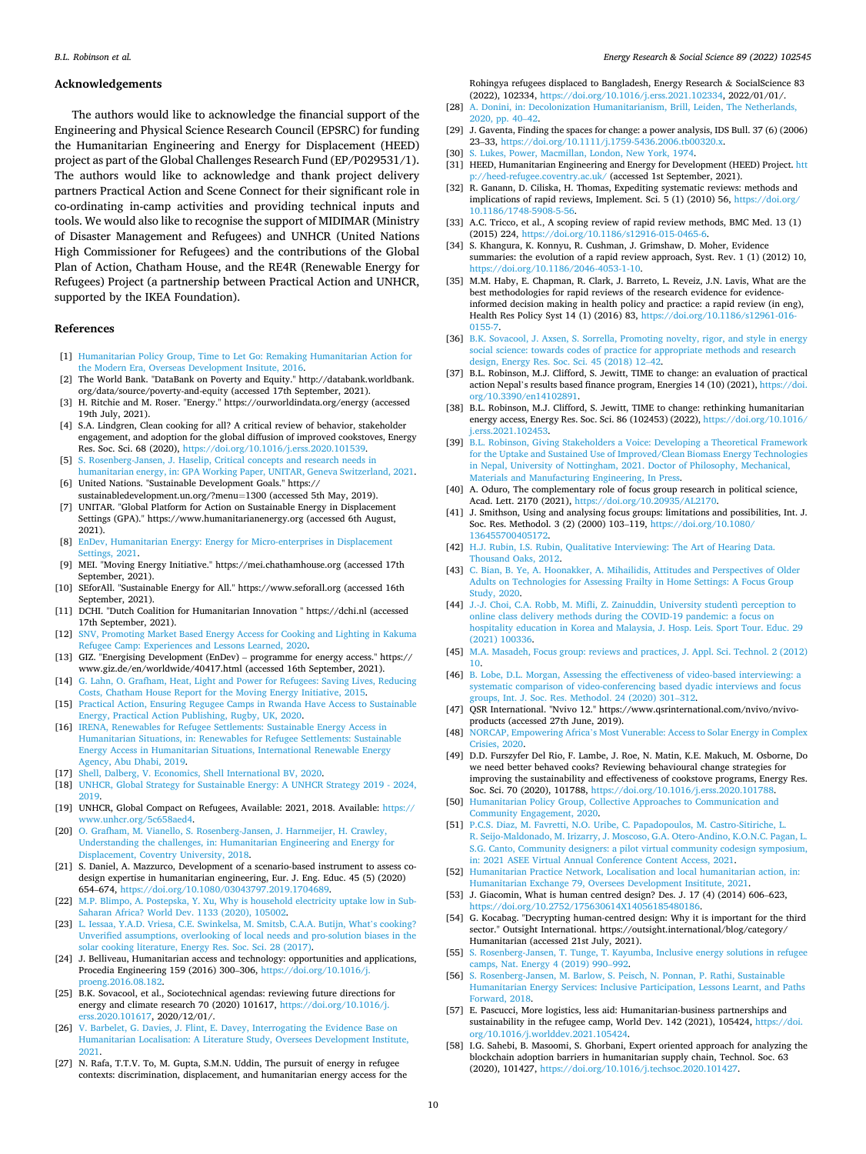### <span id="page-9-0"></span>**Acknowledgements**

The authors would like to acknowledge the financial support of the Engineering and Physical Science Research Council (EPSRC) for funding the Humanitarian Engineering and Energy for Displacement (HEED) project as part of the Global Challenges Research Fund (EP/P029531/1). The authors would like to acknowledge and thank project delivery partners Practical Action and Scene Connect for their significant role in co-ordinating in-camp activities and providing technical inputs and tools. We would also like to recognise the support of MIDIMAR (Ministry of Disaster Management and Refugees) and UNHCR (United Nations High Commissioner for Refugees) and the contributions of the Global Plan of Action, Chatham House, and the RE4R (Renewable Energy for Refugees) Project (a partnership between Practical Action and UNHCR, supported by the IKEA Foundation).

#### **References**

- [1] [Humanitarian Policy Group, Time to Let Go: Remaking Humanitarian Action for](http://refhub.elsevier.com/S2214-6296(22)00052-4/rf202202150401255761) [the Modern Era, Overseas Development Insitute, 2016.](http://refhub.elsevier.com/S2214-6296(22)00052-4/rf202202150401255761)
- [2] The World Bank. "DataBank on Poverty and Equity." http://databank.worldbank. org/data/source/poverty-and-equity (accessed 17th September, 2021).
- [3] H. Ritchie and M. Roser. "Energy." https://ourworldindata.org/energy (accessed 19th July, 2021).
- [4] S.A. Lindgren, Clean cooking for all? A critical review of behavior, stakeholder engagement, and adoption for the global diffusion of improved cookstoves, Energy Res. Soc. Sci. 68 (2020), <https://doi.org/10.1016/j.erss.2020.101539>.
- [5] [S. Rosenberg-Jansen, J. Haselip, Critical concepts and research needs in](http://refhub.elsevier.com/S2214-6296(22)00052-4/rf202202150402033730) [humanitarian energy, in: GPA Working Paper, UNITAR, Geneva Switzerland, 2021.](http://refhub.elsevier.com/S2214-6296(22)00052-4/rf202202150402033730) [6] United Nations. "Sustainable Development Goals." https://
- sustainabledevelopment.un.org/?menu=1300 (accessed 5th May, 2019). [7] UNITAR. "Global Platform for Action on Sustainable Energy in Displacement
- Settings (GPA)." https://www.humanitarianenergy.org (accessed 6th August, 2021). [8] [EnDev, Humanitarian Energy: Energy for Micro-enterprises in Displacement](http://refhub.elsevier.com/S2214-6296(22)00052-4/rf202202150402276021)
- s. 2021.
- [9] MEI. "Moving Energy Initiative." https://mei.chathamhouse.org (accessed 17th September, 2021).
- [10] SEforAll. "Sustainable Energy for All." https://www.seforall.org (accessed 16th September, 2021).
- [11] DCHI. "Dutch Coalition for Humanitarian Innovation " https://dchi.nl (accessed 17th September, 2021).
- [12] [SNV, Promoting Market Based Energy Access for Cooking and Lighting in Kakuma](http://refhub.elsevier.com/S2214-6296(22)00052-4/rf202202150356331679)  [Refugee Camp: Experiences and Lessons Learned, 2020](http://refhub.elsevier.com/S2214-6296(22)00052-4/rf202202150356331679).
- [13] GIZ. "Energising Development (EnDev) programme for energy access." https:// www.giz.de/en/worldwide/40417.html (accessed 16th September, 2021).
- [14] [G. Lahn, O. Grafham, Heat, Light and Power for Refugees: Saving Lives, Reducing](http://refhub.elsevier.com/S2214-6296(22)00052-4/rf202202150403019811)  [Costs, Chatham House Report for the Moving Energy Initiative, 2015](http://refhub.elsevier.com/S2214-6296(22)00052-4/rf202202150403019811).
- [15] [Practical Action, Ensuring Regugee Camps in Rwanda Have Access to Sustainable](http://refhub.elsevier.com/S2214-6296(22)00052-4/rf202202150356424305)  [Energy, Practical Action Publishing, Rugby, UK, 2020.](http://refhub.elsevier.com/S2214-6296(22)00052-4/rf202202150356424305)
- [16] [IRENA, Renewables for Refugee Settlements: Sustainable Energy Access in](http://refhub.elsevier.com/S2214-6296(22)00052-4/rf202202150356517626) [Humanitarian Situations, in: Renewables for Refugee Settlements: Sustainable](http://refhub.elsevier.com/S2214-6296(22)00052-4/rf202202150356517626) [Energy Access in Humanitarian Situations, International Renewable Energy](http://refhub.elsevier.com/S2214-6296(22)00052-4/rf202202150356517626)  [Agency, Abu Dhabi, 2019.](http://refhub.elsevier.com/S2214-6296(22)00052-4/rf202202150356517626)
- [17] [Shell, Dalberg, V. Economics, Shell International BV, 2020](http://refhub.elsevier.com/S2214-6296(22)00052-4/rf202202150356595427).
- [18] [UNHCR, Global Strategy for Sustainable Energy: A UNHCR Strategy 2019 2024,](http://refhub.elsevier.com/S2214-6296(22)00052-4/rf202202150357074609)  [2019.](http://refhub.elsevier.com/S2214-6296(22)00052-4/rf202202150357074609)
- [19] UNHCR, Global Compact on Refugees, Available: 2021, 2018. Available: [https://](https://www.unhcr.org/5c658aed4) [www.unhcr.org/5c658aed4](https://www.unhcr.org/5c658aed4).
- [20] [O. Grafham, M. Vianello, S. Rosenberg-Jansen, J. Harnmeijer, H. Crawley,](http://refhub.elsevier.com/S2214-6296(22)00052-4/rf202202150404111302) [Understanding the challenges, in: Humanitarian Engineering and Energy for](http://refhub.elsevier.com/S2214-6296(22)00052-4/rf202202150404111302) [Displacement, Coventry University, 2018](http://refhub.elsevier.com/S2214-6296(22)00052-4/rf202202150404111302).
- [21] S. Daniel, A. Mazzurco, Development of a scenario-based instrument to assess codesign expertise in humanitarian engineering, Eur. J. Eng. Educ. 45 (5) (2020) 654–674, <https://doi.org/10.1080/03043797.2019.1704689>.
- [22] [M.P. Blimpo, A. Postepska, Y. Xu, Why is household electricity uptake low in Sub-](http://refhub.elsevier.com/S2214-6296(22)00052-4/rf202202150357084352)[Saharan Africa? World Dev. 1133 \(2020\), 105002.](http://refhub.elsevier.com/S2214-6296(22)00052-4/rf202202150357084352)
- [23] [L. Iessaa, Y.A.D. Vriesa, C.E. Swinkelsa, M. Smitsb, C.A.A. Butijn, What](http://refhub.elsevier.com/S2214-6296(22)00052-4/rf202202150405236315)'s cooking? [Unverified assumptions, overlooking of local needs and pro-solution biases in the](http://refhub.elsevier.com/S2214-6296(22)00052-4/rf202202150405236315) [solar cooking literature, Energy Res. Soc. Sci. 28 \(2017\)](http://refhub.elsevier.com/S2214-6296(22)00052-4/rf202202150405236315).
- [24] J. Belliveau, Humanitarian access and technology: opportunities and applications, Procedia Engineering 159 (2016) 300–306, [https://doi.org/10.1016/j.](https://doi.org/10.1016/j.proeng.2016.08.182) [proeng.2016.08.182](https://doi.org/10.1016/j.proeng.2016.08.182).
- [25] B.K. Sovacool, et al., Sociotechnical agendas: reviewing future directions for energy and climate research 70 (2020) 101617, [https://doi.org/10.1016/j.](https://doi.org/10.1016/j.erss.2020.101617) [erss.2020.101617](https://doi.org/10.1016/j.erss.2020.101617), 2020/12/01/.
- [26] [V. Barbelet, G. Davies, J. Flint, E. Davey, Interrogating the Evidence Base on](http://refhub.elsevier.com/S2214-6296(22)00052-4/rf202202150408598112) [Humanitarian Localisation: A Literature Study, Oversees Development Institute,](http://refhub.elsevier.com/S2214-6296(22)00052-4/rf202202150408598112) [2021.](http://refhub.elsevier.com/S2214-6296(22)00052-4/rf202202150408598112)
- [27] N. Rafa, T.T.V. To, M. Gupta, S.M.N. Uddin, The pursuit of energy in refugee contexts: discrimination, displacement, and humanitarian energy access for the

Rohingya refugees displaced to Bangladesh, Energy Research & SocialScience 83 (2022), 102334, <https://doi.org/10.1016/j.erss.2021.102334>, 2022/01/01/.

- [28] [A. Donini, in: Decolonization Humanitarianism, Brill, Leiden, The Netherlands,](http://refhub.elsevier.com/S2214-6296(22)00052-4/rf202202150357153903) [2020, pp. 40](http://refhub.elsevier.com/S2214-6296(22)00052-4/rf202202150357153903)–42.
- [29] J. Gaventa, Finding the spaces for change: a power analysis, IDS Bull. 37 (6) (2006) 23–33, <https://doi.org/10.1111/j.1759-5436.2006.tb00320.x>.
- [30] [S. Lukes, Power, Macmillan, London, New York, 1974](http://refhub.elsevier.com/S2214-6296(22)00052-4/rf202202150413191054).
- [31] HEED, Humanitarian Engineering and Energy for Development (HEED) Project. htt /heed-refugee.coventry.ac.uk/ (accessed 1st September, 2021).
- [32] R. Ganann, D. Ciliska, H. Thomas, Expediting systematic reviews: methods and implications of rapid reviews, Implement. Sci. 5 (1) (2010) 56, [https://doi.org/](https://doi.org/10.1186/1748-5908-5-56) [10.1186/1748-5908-5-56](https://doi.org/10.1186/1748-5908-5-56).
- [33] A.C. Tricco, et al., A scoping review of rapid review methods, BMC Med. 13 (1) (2015) 224, <https://doi.org/10.1186/s12916-015-0465-6>.
- [34] S. Khangura, K. Konnyu, R. Cushman, J. Grimshaw, D. Moher, Evidence summaries: the evolution of a rapid review approach, Syst. Rev. 1 (1) (2012) 10, [https://doi.org/10.1186/2046-4053-1-10.](https://doi.org/10.1186/2046-4053-1-10)
- [35] M.M. Haby, E. Chapman, R. Clark, J. Barreto, L. Reveiz, J.N. Lavis, What are the best methodologies for rapid reviews of the research evidence for evidenceinformed decision making in health policy and practice: a rapid review (in eng), Health Res Policy Syst 14 (1) (2016) 83, [https://doi.org/10.1186/s12961-016-](https://doi.org/10.1186/s12961-016-0155-7) [0155-7](https://doi.org/10.1186/s12961-016-0155-7).
- [36] B.K. Sovacool, J. Axsen, S. Sorrella, Promoting novelty, rigor, and style in energy [social science: towards codes of practice for appropriate methods and research](http://refhub.elsevier.com/S2214-6296(22)00052-4/rf202202150357200779)  [design, Energy Res. Soc. Sci. 45 \(2018\) 12](http://refhub.elsevier.com/S2214-6296(22)00052-4/rf202202150357200779)–42.
- [37] B.L. Robinson, M.J. Clifford, S. Jewitt, TIME to change: an evaluation of practical action Nepal's results based finance program, Energies 14 (10) (2021), [https://doi.](https://doi.org/10.3390/en14102891)  [org/10.3390/en14102891](https://doi.org/10.3390/en14102891).
- [38] B.L. Robinson, M.J. Clifford, S. Jewitt, TIME to change: rethinking humanitarian energy access, Energy Res. Soc. Sci. 86 (102453) (2022), [https://doi.org/10.1016/](https://doi.org/10.1016/j.erss.2021.102453)  erss.2021.102453.
- [39] [B.L. Robinson, Giving Stakeholders a Voice: Developing a Theoretical Framework](http://refhub.elsevier.com/S2214-6296(22)00052-4/rf202202150357317228)  [for the Uptake and Sustained Use of Improved/Clean Biomass Energy Technologies](http://refhub.elsevier.com/S2214-6296(22)00052-4/rf202202150357317228)  [in Nepal, University of Nottingham, 2021. Doctor of Philosophy, Mechanical,](http://refhub.elsevier.com/S2214-6296(22)00052-4/rf202202150357317228)  [Materials and Manufacturing Engineering, In Press.](http://refhub.elsevier.com/S2214-6296(22)00052-4/rf202202150357317228)
- [40] A. Oduro, The complementary role of focus group research in political science, Acad. Lett. 2170 (2021), [https://doi.org/10.20935/AL2170.](https://doi.org/10.20935/AL2170)
- [41] J. Smithson, Using and analysing focus groups: limitations and possibilities, Int. J. Soc. Res. Methodol. 3 (2) (2000) 103–119, [https://doi.org/10.1080/](https://doi.org/10.1080/136455700405172) [136455700405172.](https://doi.org/10.1080/136455700405172)
- [42] [H.J. Rubin, I.S. Rubin, Qualitative Interviewing: The Art of Hearing Data.](http://refhub.elsevier.com/S2214-6296(22)00052-4/rf202202150357412687)  [Thousand Oaks, 2012.](http://refhub.elsevier.com/S2214-6296(22)00052-4/rf202202150357412687)
- [43] [C. Bian, B. Ye, A. Hoonakker, A. Mihailidis, Attitudes and Perspectives of Older](http://refhub.elsevier.com/S2214-6296(22)00052-4/rf202202150357480033) [Adults on Technologies for Assessing Frailty in Home Settings: A Focus Group](http://refhub.elsevier.com/S2214-6296(22)00052-4/rf202202150357480033) [Study, 2020.](http://refhub.elsevier.com/S2214-6296(22)00052-4/rf202202150357480033)
- [44] [J.-J. Choi, C.A. Robb, M. Mifli, Z. Zainuddin, University studentì perception to](http://refhub.elsevier.com/S2214-6296(22)00052-4/rf202202150354442303)  [online class delivery methods during the COVID-19 pandemic: a focus on](http://refhub.elsevier.com/S2214-6296(22)00052-4/rf202202150354442303)  [hospitality education in Korea and Malaysia, J. Hosp. Leis. Sport Tour. Educ. 29](http://refhub.elsevier.com/S2214-6296(22)00052-4/rf202202150354442303) [\(2021\) 100336.](http://refhub.elsevier.com/S2214-6296(22)00052-4/rf202202150354442303)
- [45] [M.A. Masadeh, Focus group: reviews and practices, J. Appl. Sci. Technol. 2 \(2012\)](http://refhub.elsevier.com/S2214-6296(22)00052-4/rf202202150358148022)  [10](http://refhub.elsevier.com/S2214-6296(22)00052-4/rf202202150358148022).
- [46] [B. Lobe, D.L. Morgan, Assessing the effectiveness of video-based interviewing: a](http://refhub.elsevier.com/S2214-6296(22)00052-4/rf202202150358169966) [systematic comparison of video-conferencing based dyadic interviews and focus](http://refhub.elsevier.com/S2214-6296(22)00052-4/rf202202150358169966)  [groups, Int. J. Soc. Res. Methodol. 24 \(2020\) 301](http://refhub.elsevier.com/S2214-6296(22)00052-4/rf202202150358169966)–312.
- [47] QSR International. "Nvivo 12." https://www.qsrinternational.com/nvivo/nvivoproducts (accessed 27th June, 2019).
- [48] NORCAP, Empowering Africa'[s Most Vunerable: Access to Solar Energy in Complex](http://refhub.elsevier.com/S2214-6296(22)00052-4/rf202202150513130293)  [Crisies, 2020.](http://refhub.elsevier.com/S2214-6296(22)00052-4/rf202202150513130293)
- [49] D.D. Furszyfer Del Rio, F. Lambe, J. Roe, N. Matin, K.E. Makuch, M. Osborne, Do we need better behaved cooks? Reviewing behavioural change strategies for improving the sustainability and effectiveness of cookstove programs, Energy Res. Soc. Sci. 70 (2020), 101788, <https://doi.org/10.1016/j.erss.2020.101788>.
- [50] [Humanitarian Policy Group, Collective Approaches to Communication and](http://refhub.elsevier.com/S2214-6296(22)00052-4/rf202202150358531670)  [Community Engagement, 2020](http://refhub.elsevier.com/S2214-6296(22)00052-4/rf202202150358531670).
- [51] [P.C.S. Diaz, M. Favretti, N.O. Uribe, C. Papadopoulos, M. Castro-Sitiriche, L.](http://refhub.elsevier.com/S2214-6296(22)00052-4/rf202202150359183572) [R. Seijo-Maldonado, M. Irizarry, J. Moscoso, G.A. Otero-Andino, K.O.N.C. Pagan, L.](http://refhub.elsevier.com/S2214-6296(22)00052-4/rf202202150359183572)  [S.G. Canto, Community designers: a pilot virtual community codesign symposium,](http://refhub.elsevier.com/S2214-6296(22)00052-4/rf202202150359183572)  [in: 2021 ASEE Virtual Annual Conference Content Access, 2021](http://refhub.elsevier.com/S2214-6296(22)00052-4/rf202202150359183572).
- [52] [Humanitarian Practice Network, Localisation and local humanitarian action, in:](http://refhub.elsevier.com/S2214-6296(22)00052-4/rf202202150514135819)  [Humanitarian Exchange 79, Oversees Development Insititute, 2021.](http://refhub.elsevier.com/S2214-6296(22)00052-4/rf202202150514135819)
- [53] J. Giacomin, What is human centred design? Des. J. 17 (4) (2014) 606–623, [https://doi.org/10.2752/175630614X14056185480186.](https://doi.org/10.2752/175630614X14056185480186)
- [54] G. Kocabag. "Decrypting human-centred design: Why it is important for the third sector." Outsight International. https://outsight.international/blog/category/ Humanitarian (accessed 21st July, 2021).
- [55] [S. Rosenberg-Jansen, T. Tunge, T. Kayumba, Inclusive energy solutions in refugee](http://refhub.elsevier.com/S2214-6296(22)00052-4/rf202202150353541336)  [camps, Nat. Energy 4 \(2019\) 990](http://refhub.elsevier.com/S2214-6296(22)00052-4/rf202202150353541336)–992.
- [56] [S. Rosenberg-Jansen, M. Barlow, S. Peisch, N. Ponnan, P. Rathi, Sustainable](http://refhub.elsevier.com/S2214-6296(22)00052-4/rf202202150359417728)  [Humanitarian Energy Services: Inclusive Participation, Lessons Learnt, and Paths](http://refhub.elsevier.com/S2214-6296(22)00052-4/rf202202150359417728)  [Forward, 2018](http://refhub.elsevier.com/S2214-6296(22)00052-4/rf202202150359417728).
- [57] E. Pascucci, More logistics, less aid: Humanitarian-business partnerships and sustainability in the refugee camp, World Dev. 142 (2021), 105424, [https://doi.](https://doi.org/10.1016/j.worlddev.2021.105424)  [org/10.1016/j.worlddev.2021.105424.](https://doi.org/10.1016/j.worlddev.2021.105424)
- [58] I.G. Sahebi, B. Masoomi, S. Ghorbani, Expert oriented approach for analyzing the blockchain adoption barriers in humanitarian supply chain, Technol. Soc. 63 (2020), 101427, <https://doi.org/10.1016/j.techsoc.2020.101427>.